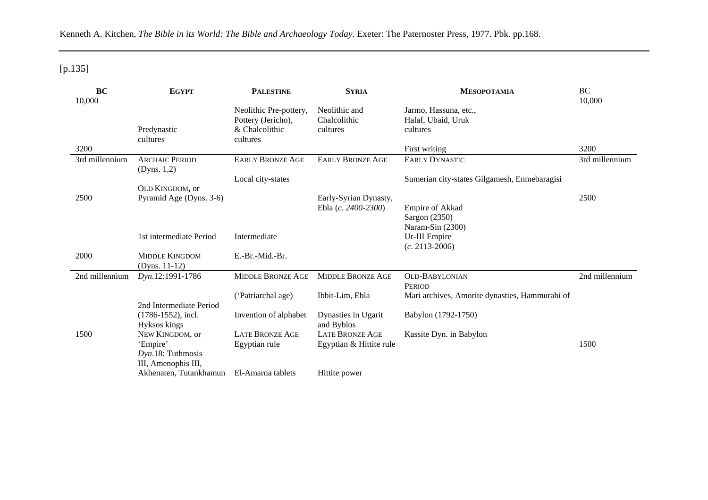Kenneth A. Kitchen, *The Bible in its World: The Bible and Archaeology Today*. Exeter: The Paternoster Press, 1977. Pbk. pp.168.

## [p.135]

| BC             | <b>EGYPT</b>            | <b>PALESTINE</b>         | <b>SYRIA</b>             | <b>MESOPOTAMIA</b>                             | BC             |
|----------------|-------------------------|--------------------------|--------------------------|------------------------------------------------|----------------|
| 10,000         |                         |                          |                          |                                                | 10,000         |
|                |                         | Neolithic Pre-pottery,   | Neolithic and            | Jarmo, Hassuna, etc.,                          |                |
|                |                         | Pottery (Jericho),       | Chalcolithic             | Halaf, Ubaid, Uruk                             |                |
|                | Predynastic             | & Chalcolithic           | cultures                 | cultures                                       |                |
|                | cultures                | cultures                 |                          |                                                |                |
| 3200           |                         |                          |                          | First writing                                  | 3200           |
| 3rd millennium | <b>ARCHAIC PERIOD</b>   | <b>EARLY BRONZE AGE</b>  | <b>EARLY BRONZE AGE</b>  | <b>EARLY DYNASTIC</b>                          | 3rd millennium |
|                | (Dyns. 1,2)             |                          |                          |                                                |                |
|                |                         | Local city-states        |                          | Sumerian city-states Gilgamesh, Enmebaragisi   |                |
|                | OLD KINGDOM, or         |                          |                          |                                                |                |
| 2500           | Pyramid Age (Dyns. 3-6) |                          | Early-Syrian Dynasty,    |                                                | 2500           |
|                |                         |                          | Ebla (c. 2400-2300)      | Empire of Akkad                                |                |
|                |                         |                          |                          | Sargon (2350)                                  |                |
|                |                         |                          |                          | Naram-Sin (2300)                               |                |
|                | 1st intermediate Period | Intermediate             |                          | Ur-III Empire                                  |                |
|                |                         |                          |                          | $(c. 2113 - 2006)$                             |                |
| 2000           | <b>MIDDLE KINGDOM</b>   | E.-Br.-Mid.-Br.          |                          |                                                |                |
|                | (Dyns. $11-12$ )        |                          |                          |                                                |                |
| 2nd millennium | Dyn.12:1991-1786        | <b>MIDDLE BRONZE AGE</b> | <b>MIDDLE BRONZE AGE</b> | <b>OLD-BABYLONIAN</b>                          | 2nd millennium |
|                |                         |                          |                          | <b>PERIOD</b>                                  |                |
|                |                         | ('Patriarchal age)       | Ibbit-Lim, Ebla          | Mari archives, Amorite dynasties, Hammurabi of |                |
|                | 2nd Intermediate Period |                          |                          |                                                |                |
|                | $(1786-1552)$ , incl.   | Invention of alphabet    | Dynasties in Ugarit      | Babylon (1792-1750)                            |                |
|                | Hyksos kings            |                          | and Byblos               |                                                |                |
| 1500           | NEW KINGDOM, or         | <b>LATE BRONZE AGE</b>   | <b>LATE BRONZE AGE</b>   | Kassite Dyn. in Babylon                        |                |
|                | 'Empire'                | Egyptian rule            | Egyptian & Hittite rule  |                                                | 1500           |
|                | Dyn.18: Tuthmosis       |                          |                          |                                                |                |
|                | III, Amenophis III,     |                          |                          |                                                |                |
|                | Akhenaten, Tutankhamun  | El-Amarna tablets        | Hittite power            |                                                |                |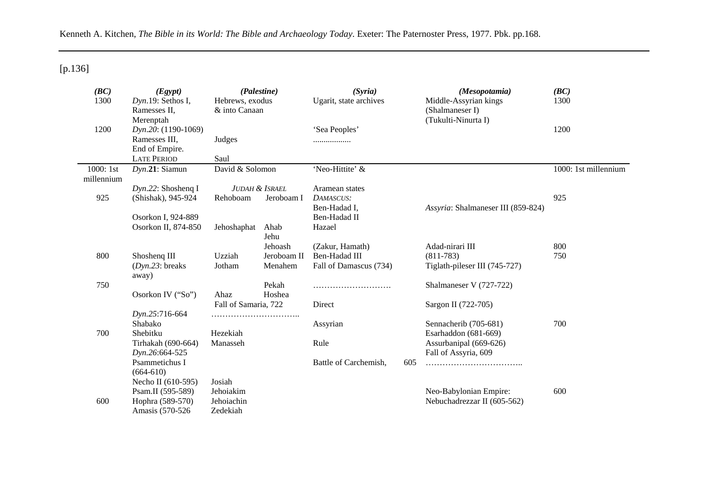Kenneth A. Kitchen, *The Bible in its World: The Bible and Archaeology Today*. Exeter: The Paternoster Press, 1977. Pbk. pp.168.

[p.136]

| (BC)<br>1300            | (Egypt)<br>(Palestine)<br>$Dyn.19$ : Sethos I,<br>Hebrews, exodus<br>& into Canaan<br>Ramesses II,<br>Merenptah |                           |              | (Syria)<br>Ugarit, state archives |     | (Mesopotamia)<br>Middle-Assyrian kings<br>(Shalmaneser I)<br>(Tukulti-Ninurta I) | (BC)<br>1300         |
|-------------------------|-----------------------------------------------------------------------------------------------------------------|---------------------------|--------------|-----------------------------------|-----|----------------------------------------------------------------------------------|----------------------|
| 1200                    | Dyn.20: (1190-1069)                                                                                             |                           |              | 'Sea Peoples'                     |     |                                                                                  | 1200                 |
|                         | Ramesses III,                                                                                                   | Judges                    |              |                                   |     |                                                                                  |                      |
|                         | End of Empire.<br><b>LATE PERIOD</b>                                                                            | Saul                      |              |                                   |     |                                                                                  |                      |
|                         |                                                                                                                 |                           |              |                                   |     |                                                                                  | 1000: 1st millennium |
| 1000: 1st<br>millennium | $Dyn.21:$ Siamun                                                                                                | David & Solomon           |              | 'Neo-Hittite' &                   |     |                                                                                  |                      |
|                         | $Dyn.22$ : Shosheng I                                                                                           | <b>JUDAH &amp; ISRAEL</b> |              | Aramean states                    |     |                                                                                  |                      |
| 925                     | (Shishak), 945-924                                                                                              | Rehoboam                  | Jeroboam I   | DAMASCUS:                         |     |                                                                                  | 925                  |
|                         |                                                                                                                 |                           |              | Ben-Hadad I,                      |     | Assyria: Shalmaneser III (859-824)                                               |                      |
|                         | Osorkon I, 924-889                                                                                              |                           |              | Ben-Hadad II                      |     |                                                                                  |                      |
|                         | Osorkon II, 874-850                                                                                             | Jehoshaphat               | Ahab<br>Jehu | Hazael                            |     |                                                                                  |                      |
|                         |                                                                                                                 |                           | Jehoash      | (Zakur, Hamath)                   |     | Adad-nirari III                                                                  | 800                  |
| 800                     | Shosheng III                                                                                                    | Uzziah                    | Jeroboam II  | Ben-Hadad III                     |     | $(811 - 783)$                                                                    | 750                  |
|                         | $(Dyn.23)$ : breaks<br>away)                                                                                    | Jotham                    | Menahem      | Fall of Damascus (734)            |     | Tiglath-pileser III (745-727)                                                    |                      |
| 750                     |                                                                                                                 |                           | Pekah        |                                   |     | Shalmaneser V (727-722)                                                          |                      |
|                         | Osorkon IV ("So")                                                                                               | Ahaz                      | Hoshea       |                                   |     |                                                                                  |                      |
|                         |                                                                                                                 | Fall of Samaria, 722      |              | Direct                            |     | Sargon II (722-705)                                                              |                      |
|                         | Dyn.25:716-664                                                                                                  |                           |              |                                   |     |                                                                                  |                      |
|                         | Shabako                                                                                                         |                           |              | Assyrian                          |     | Sennacherib (705-681)                                                            | 700                  |
| 700                     | Shebitku                                                                                                        | Hezekiah                  |              |                                   |     | Esarhaddon (681-669)                                                             |                      |
|                         | Tirhakah (690-664)                                                                                              | Manasseh                  |              | Rule                              |     | Assurbanipal (669-626)                                                           |                      |
|                         | Dyn.26:664-525                                                                                                  |                           |              |                                   |     | Fall of Assyria, 609                                                             |                      |
|                         | Psammetichus I<br>$(664-610)$                                                                                   |                           |              | Battle of Carchemish,             | 605 |                                                                                  |                      |
|                         | Necho II (610-595)                                                                                              | Josiah                    |              |                                   |     |                                                                                  |                      |
|                         | Psam.II (595-589)                                                                                               | Jehoiakim                 |              |                                   |     | Neo-Babylonian Empire:                                                           | 600                  |
| 600                     | Hophra (589-570)                                                                                                | Jehoiachin                |              |                                   |     | Nebuchadrezzar II (605-562)                                                      |                      |
|                         | Amasis (570-526                                                                                                 | Zedekiah                  |              |                                   |     |                                                                                  |                      |